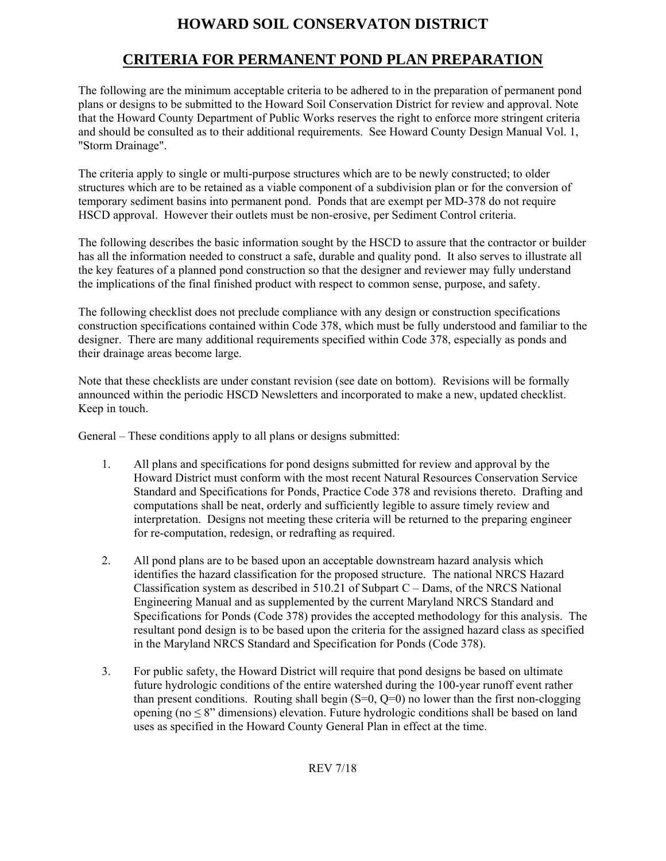# **HOWARD SOIL CONSERVATON DISTRICT**

## **CRITERIA FOR PERMANENT POND PLAN PREPARATION**

The following are the minimum acceptable criteria to be adhered to in the preparation of permanent pond plans or designs to be submitted to the Howard Soil Conservation District for review and approval. Note that the Howard County Department of Public Works reserves the right to enforce more stringent criteria and should be consulted as to their additional requirements. See Howard County Design Manual Vol. 1, "Storm Drainage".

The criteria apply to single or multi-purpose structures which are to be newly constructed; to older structures which are to be retained as a viable component of a subdivision plan or for the conversion of temporary sediment basins into permanent pond. Ponds that are exempt per MD-378 do not require HSCD approval. However their outlets must be non-erosive, per Sediment Control criteria.

The following describes the basic information sought by the HSCD to assure that the contractor or builder has all the information needed to construct a safe, durable and quality pond. It also serves to illustrate all the key features of a planned pond construction so that the designer and reviewer may fully understand the implications of the final finished product with respect to common sense, purpose, and safety.

The following checklist does not preclude compliance with any design or construction specifications construction specifications contained within Code 378, which must be fully understood and familiar to the designer. There are many additional requirements specified within Code 378, especially as ponds and their drainage areas become large.

Note that these checklists are under constant revision (see date on bottom). Revisions will be formally announced within the periodic HSCD Newsletters and incorporated to make a new, updated checklist. Keep in touch.

General – These conditions apply to all plans or designs submitted:

- 1. All plans and specifications for pond designs submitted for review and approval by the Howard District must conform with the most recent Natural Resources Conservation Service Standard and Specifications for Ponds, Practice Code 378 and revisions thereto. Drafting and computations shall be neat, orderly and sufficiently legible to assure timely review and interpretation. Designs not meeting these criteria will be returned to the preparing engineer for re-computation, redesign, or redrafting as required.
- 2. All pond plans are to be based upon an acceptable downstream hazard analysis which identifies the hazard classification for the proposed structure. The national NRCS Hazard Classification system as described in  $510.21$  of Subpart C – Dams, of the NRCS National Engineering Manual and as supplemented by the current Maryland NRCS Standard and Specifications for Ponds (Code 378) provides the accepted methodology for this analysis. The resultant pond design is to be based upon the criteria for the assigned hazard class as specified in the Maryland NRCS Standard and Specification for Ponds (Code 378).
- 3. For public safety, the Howard District will require that pond designs be based on ultimate future hydrologic conditions of the entire watershed during the 100-year runoff event rather than present conditions. Routing shall begin  $(S=0, Q=0)$  no lower than the first non-clogging opening (no  $\leq 8$ " dimensions) elevation. Future hydrologic conditions shall be based on land uses as specified in the Howard County General Plan in effect at the time.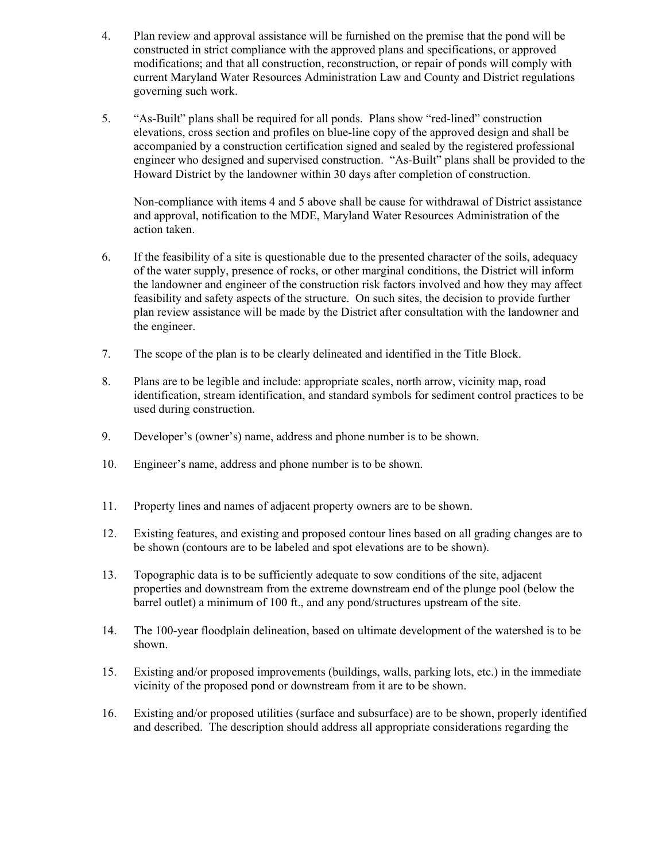- 4. Plan review and approval assistance will be furnished on the premise that the pond will be constructed in strict compliance with the approved plans and specifications, or approved modifications; and that all construction, reconstruction, or repair of ponds will comply with current Maryland Water Resources Administration Law and County and District regulations governing such work.
- 5. "As-Built" plans shall be required for all ponds. Plans show "red-lined" construction elevations, cross section and profiles on blue-line copy of the approved design and shall be accompanied by a construction certification signed and sealed by the registered professional engineer who designed and supervised construction. "As-Built" plans shall be provided to the Howard District by the landowner within 30 days after completion of construction.

Non-compliance with items 4 and 5 above shall be cause for withdrawal of District assistance and approval, notification to the MDE, Maryland Water Resources Administration of the action taken.

- 6. If the feasibility of a site is questionable due to the presented character of the soils, adequacy of the water supply, presence of rocks, or other marginal conditions, the District will inform the landowner and engineer of the construction risk factors involved and how they may affect feasibility and safety aspects of the structure. On such sites, the decision to provide further plan review assistance will be made by the District after consultation with the landowner and the engineer.
- 7. The scope of the plan is to be clearly delineated and identified in the Title Block.
- 8. Plans are to be legible and include: appropriate scales, north arrow, vicinity map, road identification, stream identification, and standard symbols for sediment control practices to be used during construction.
- 9. Developer's (owner's) name, address and phone number is to be shown.
- 10. Engineer's name, address and phone number is to be shown.
- 11. Property lines and names of adjacent property owners are to be shown.
- 12. Existing features, and existing and proposed contour lines based on all grading changes are to be shown (contours are to be labeled and spot elevations are to be shown).
- 13. Topographic data is to be sufficiently adequate to sow conditions of the site, adjacent properties and downstream from the extreme downstream end of the plunge pool (below the barrel outlet) a minimum of 100 ft., and any pond/structures upstream of the site.
- 14. The 100-year floodplain delineation, based on ultimate development of the watershed is to be shown.
- 15. Existing and/or proposed improvements (buildings, walls, parking lots, etc.) in the immediate vicinity of the proposed pond or downstream from it are to be shown.
- 16. Existing and/or proposed utilities (surface and subsurface) are to be shown, properly identified and described. The description should address all appropriate considerations regarding the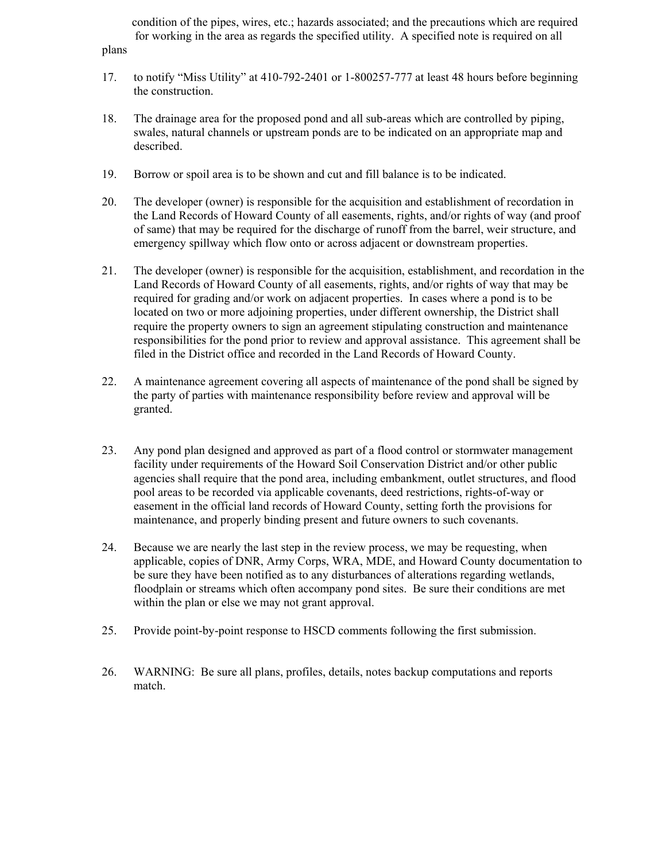condition of the pipes, wires, etc.; hazards associated; and the precautions which are required for working in the area as regards the specified utility. A specified note is required on all plans

- 17. to notify "Miss Utility" at 410-792-2401 or 1-800257-777 at least 48 hours before beginning the construction.
- 18. The drainage area for the proposed pond and all sub-areas which are controlled by piping, swales, natural channels or upstream ponds are to be indicated on an appropriate map and described.
- 19. Borrow or spoil area is to be shown and cut and fill balance is to be indicated.
- 20. The developer (owner) is responsible for the acquisition and establishment of recordation in the Land Records of Howard County of all easements, rights, and/or rights of way (and proof of same) that may be required for the discharge of runoff from the barrel, weir structure, and emergency spillway which flow onto or across adjacent or downstream properties.
- 21. The developer (owner) is responsible for the acquisition, establishment, and recordation in the Land Records of Howard County of all easements, rights, and/or rights of way that may be required for grading and/or work on adjacent properties. In cases where a pond is to be located on two or more adjoining properties, under different ownership, the District shall require the property owners to sign an agreement stipulating construction and maintenance responsibilities for the pond prior to review and approval assistance. This agreement shall be filed in the District office and recorded in the Land Records of Howard County.
- 22. A maintenance agreement covering all aspects of maintenance of the pond shall be signed by the party of parties with maintenance responsibility before review and approval will be granted.
- 23. Any pond plan designed and approved as part of a flood control or stormwater management facility under requirements of the Howard Soil Conservation District and/or other public agencies shall require that the pond area, including embankment, outlet structures, and flood pool areas to be recorded via applicable covenants, deed restrictions, rights-of-way or easement in the official land records of Howard County, setting forth the provisions for maintenance, and properly binding present and future owners to such covenants.
- 24. Because we are nearly the last step in the review process, we may be requesting, when applicable, copies of DNR, Army Corps, WRA, MDE, and Howard County documentation to be sure they have been notified as to any disturbances of alterations regarding wetlands, floodplain or streams which often accompany pond sites. Be sure their conditions are met within the plan or else we may not grant approval.
- 25. Provide point-by-point response to HSCD comments following the first submission.
- 26. WARNING: Be sure all plans, profiles, details, notes backup computations and reports match.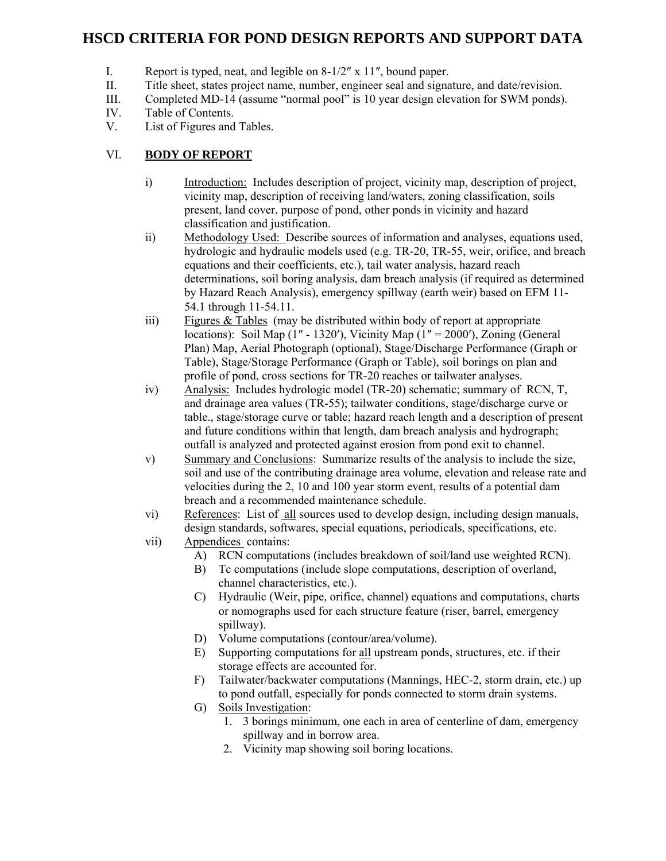## **HSCD CRITERIA FOR POND DESIGN REPORTS AND SUPPORT DATA**

- I. Report is typed, neat, and legible on 8-1/2″ x 11″, bound paper.
- II. Title sheet, states project name, number, engineer seal and signature, and date/revision.
- III. Completed MD-14 (assume "normal pool" is 10 year design elevation for SWM ponds).
- IV. Table of Contents.
- V. List of Figures and Tables.

## VI. **BODY OF REPORT**

- i) Introduction: Includes description of project, vicinity map, description of project, vicinity map, description of receiving land/waters, zoning classification, soils present, land cover, purpose of pond, other ponds in vicinity and hazard classification and justification.
- ii) Methodology Used: Describe sources of information and analyses, equations used, hydrologic and hydraulic models used (e.g. TR-20, TR-55, weir, orifice, and breach equations and their coefficients, etc.), tail water analysis, hazard reach determinations, soil boring analysis, dam breach analysis (if required as determined by Hazard Reach Analysis), emergency spillway (earth weir) based on EFM 11- 54.1 through 11-54.11.
- $\delta$  Figures & Tables (may be distributed within body of report at appropriate locations): Soil Map (1" - 1320'), Vicinity Map (1" = 2000'), Zoning (General Plan) Map, Aerial Photograph (optional), Stage/Discharge Performance (Graph or Table), Stage/Storage Performance (Graph or Table), soil borings on plan and profile of pond, cross sections for TR-20 reaches or tailwater analyses.
- iv) Analysis: Includes hydrologic model (TR-20) schematic; summary of RCN, T, and drainage area values (TR-55); tailwater conditions, stage/discharge curve or table., stage/storage curve or table; hazard reach length and a description of present and future conditions within that length, dam breach analysis and hydrograph; outfall is analyzed and protected against erosion from pond exit to channel.
- v) Summary and Conclusions: Summarize results of the analysis to include the size, soil and use of the contributing drainage area volume, elevation and release rate and velocities during the 2, 10 and 100 year storm event, results of a potential dam breach and a recommended maintenance schedule.
- vi) References: List of all sources used to develop design, including design manuals, design standards, softwares, special equations, periodicals, specifications, etc.
- vii) Appendices contains:
	- A) RCN computations (includes breakdown of soil/land use weighted RCN).
	- B) Tc computations (include slope computations, description of overland, channel characteristics, etc.).
	- C) Hydraulic (Weir, pipe, orifice, channel) equations and computations, charts or nomographs used for each structure feature (riser, barrel, emergency spillway).
	- D) Volume computations (contour/area/volume).
	- E) Supporting computations for all upstream ponds, structures, etc. if their storage effects are accounted for.
	- F) Tailwater/backwater computations (Mannings, HEC-2, storm drain, etc.) up to pond outfall, especially for ponds connected to storm drain systems.
	- G) Soils Investigation:
		- 1. 3 borings minimum, one each in area of centerline of dam, emergency spillway and in borrow area.
		- 2. Vicinity map showing soil boring locations.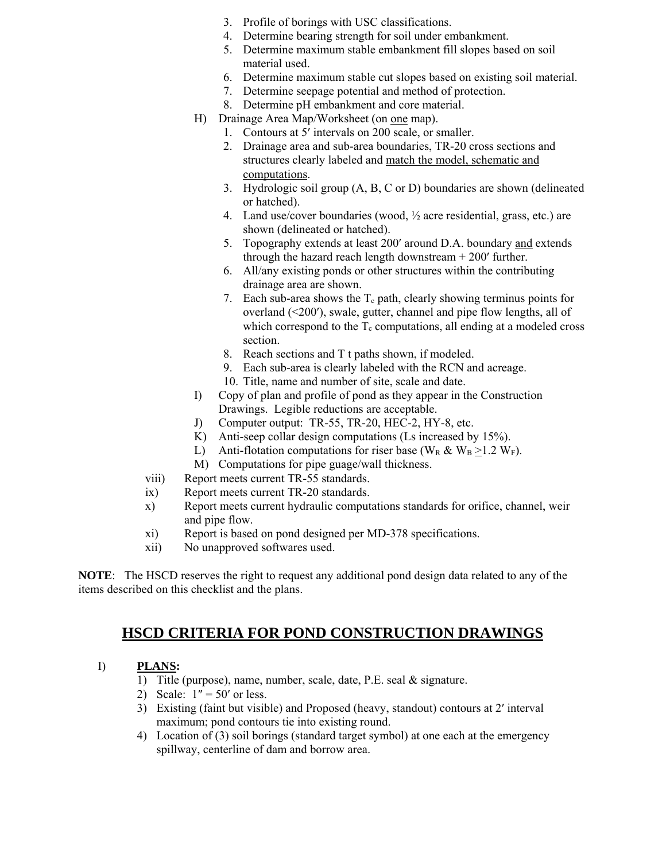- 3. Profile of borings with USC classifications.
- 4. Determine bearing strength for soil under embankment.
- 5. Determine maximum stable embankment fill slopes based on soil material used.
- 6. Determine maximum stable cut slopes based on existing soil material.
- 7. Determine seepage potential and method of protection.
- 8. Determine pH embankment and core material.
- H) Drainage Area Map/Worksheet (on one map).
	- 1. Contours at 5′ intervals on 200 scale, or smaller.
	- 2. Drainage area and sub-area boundaries, TR-20 cross sections and structures clearly labeled and match the model, schematic and computations.
	- 3. Hydrologic soil group (A, B, C or D) boundaries are shown (delineated or hatched).
	- 4. Land use/cover boundaries (wood, ½ acre residential, grass, etc.) are shown (delineated or hatched).
	- 5. Topography extends at least 200′ around D.A. boundary and extends through the hazard reach length downstream + 200′ further.
	- 6. All/any existing ponds or other structures within the contributing drainage area are shown.
	- 7. Each sub-area shows the  $T_c$  path, clearly showing terminus points for overland (<200′), swale, gutter, channel and pipe flow lengths, all of which correspond to the  $T_c$  computations, all ending at a modeled cross section.
	- 8. Reach sections and T t paths shown, if modeled.
	- 9. Each sub-area is clearly labeled with the RCN and acreage.
	- 10. Title, name and number of site, scale and date.
- I) Copy of plan and profile of pond as they appear in the Construction Drawings. Legible reductions are acceptable.
- J) Computer output: TR-55, TR-20, HEC-2, HY-8, etc.
- K) Anti-seep collar design computations (Ls increased by 15%).
- L) Anti-flotation computations for riser base (W<sub>R</sub> & W<sub>B</sub> >1.2 W<sub>F</sub>).
- M) Computations for pipe guage/wall thickness.
- viii) Report meets current TR-55 standards.
- ix) Report meets current TR-20 standards.
- x) Report meets current hydraulic computations standards for orifice, channel, weir and pipe flow.
- xi) Report is based on pond designed per MD-378 specifications.
- xii) No unapproved softwares used.

**NOTE**: The HSCD reserves the right to request any additional pond design data related to any of the items described on this checklist and the plans.

## **HSCD CRITERIA FOR POND CONSTRUCTION DRAWINGS**

### I) **PLANS:**

- 1) Title (purpose), name, number, scale, date, P.E. seal & signature.
- 2) Scale:  $1'' = 50'$  or less.
- 3) Existing (faint but visible) and Proposed (heavy, standout) contours at 2′ interval maximum; pond contours tie into existing round.
- 4) Location of (3) soil borings (standard target symbol) at one each at the emergency spillway, centerline of dam and borrow area.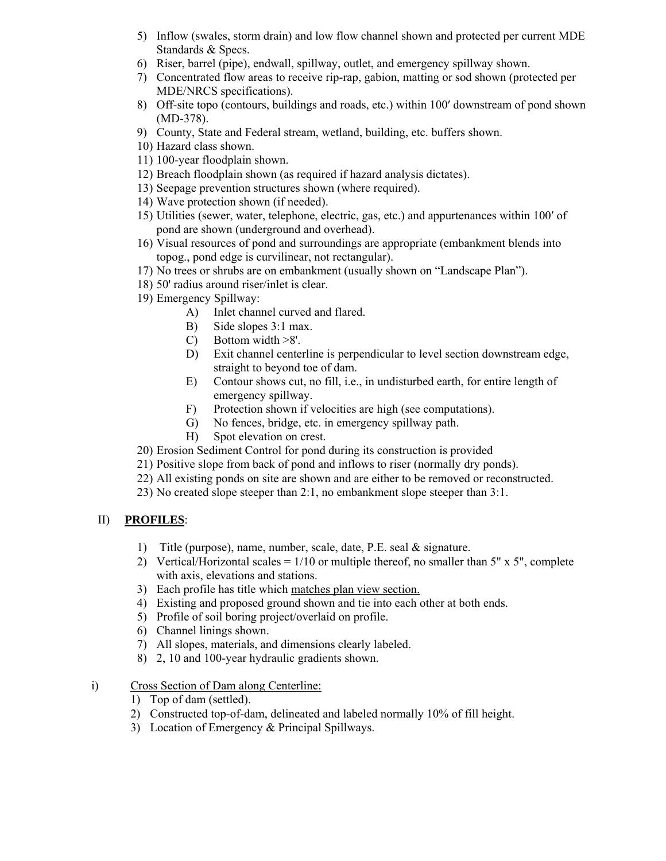- 5) Inflow (swales, storm drain) and low flow channel shown and protected per current MDE Standards & Specs.
- 6) Riser, barrel (pipe), endwall, spillway, outlet, and emergency spillway shown.
- 7) Concentrated flow areas to receive rip-rap, gabion, matting or sod shown (protected per MDE/NRCS specifications).
- 8) Off-site topo (contours, buildings and roads, etc.) within 100′ downstream of pond shown (MD-378).
- 9) County, State and Federal stream, wetland, building, etc. buffers shown.
- 10) Hazard class shown.
- 11) 100-year floodplain shown.
- 12) Breach floodplain shown (as required if hazard analysis dictates).
- 13) Seepage prevention structures shown (where required).
- 14) Wave protection shown (if needed).
- 15) Utilities (sewer, water, telephone, electric, gas, etc.) and appurtenances within 100′ of pond are shown (underground and overhead).
- 16) Visual resources of pond and surroundings are appropriate (embankment blends into topog., pond edge is curvilinear, not rectangular).
- 17) No trees or shrubs are on embankment (usually shown on "Landscape Plan").
- 18) 50' radius around riser/inlet is clear.
- 19) Emergency Spillway:
	- A) Inlet channel curved and flared.
	- B) Side slopes 3:1 max.
	- C) Bottom width >8'.
	- D) Exit channel centerline is perpendicular to level section downstream edge, straight to beyond toe of dam.
	- E) Contour shows cut, no fill, i.e., in undisturbed earth, for entire length of emergency spillway.
	- F) Protection shown if velocities are high (see computations).
	- G) No fences, bridge, etc. in emergency spillway path.
	- H) Spot elevation on crest.
- 20) Erosion Sediment Control for pond during its construction is provided
- 21) Positive slope from back of pond and inflows to riser (normally dry ponds).
- 22) All existing ponds on site are shown and are either to be removed or reconstructed.
- 23) No created slope steeper than 2:1, no embankment slope steeper than 3:1.

### II) **PROFILES**:

- 1) Title (purpose), name, number, scale, date, P.E. seal & signature.
- 2) Vertical/Horizontal scales =  $1/10$  or multiple thereof, no smaller than  $5'' \times 5''$ , complete with axis, elevations and stations.
- 3) Each profile has title which matches plan view section.
- 4) Existing and proposed ground shown and tie into each other at both ends.
- 5) Profile of soil boring project/overlaid on profile.
- 6) Channel linings shown.
- 7) All slopes, materials, and dimensions clearly labeled.
- 8) 2, 10 and 100-year hydraulic gradients shown.
- i) Cross Section of Dam along Centerline:
	- 1) Top of dam (settled).
	- 2) Constructed top-of-dam, delineated and labeled normally 10% of fill height.
	- 3) Location of Emergency & Principal Spillways.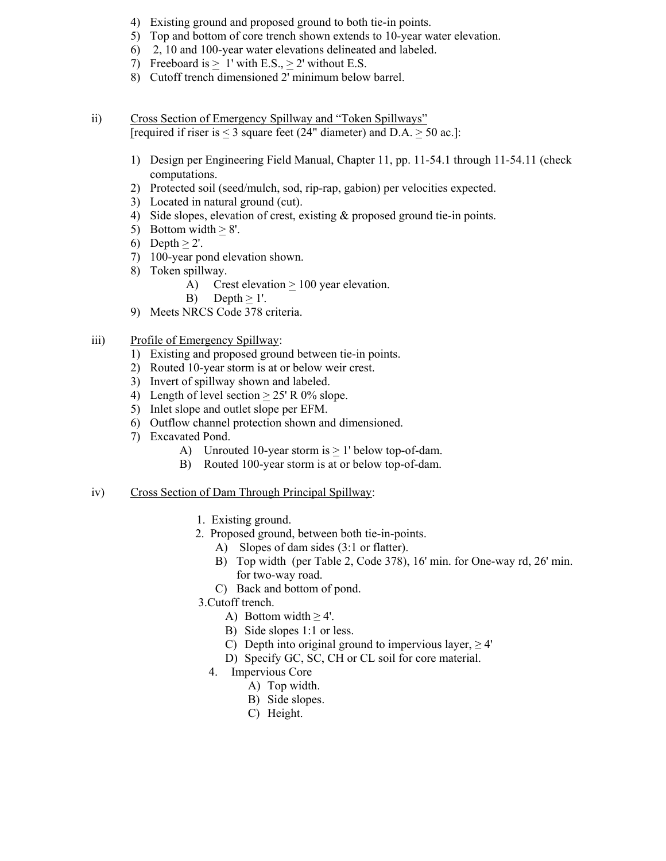- 4) Existing ground and proposed ground to both tie-in points.
- 5) Top and bottom of core trench shown extends to 10-year water elevation.
- 6) 2, 10 and 100-year water elevations delineated and labeled.
- 7) Freeboard is  $\geq 1'$  with E.S.,  $\geq 2'$  without E.S.
- 8) Cutoff trench dimensioned 2' minimum below barrel.
- ii) Cross Section of Emergency Spillway and "Token Spillways" [required if riser is < 3 square feet (24" diameter) and D.A. > 50 ac.]:
	- 1) Design per Engineering Field Manual, Chapter 11, pp. 11-54.1 through 11-54.11 (check computations.
	- 2) Protected soil (seed/mulch, sod, rip-rap, gabion) per velocities expected.
	- 3) Located in natural ground (cut).
	- 4) Side slopes, elevation of crest, existing & proposed ground tie-in points.
	- 5) Bottom width  $> 8'$ .
	- 6) Depth  $> 2'$ .
	- 7) 100-year pond elevation shown.
	- 8) Token spillway.
		- A) Crest elevation  $\geq 100$  year elevation.
		- B) Depth  $> 1'$ .
	- 9) Meets NRCS Code 378 criteria.
- iii) Profile of Emergency Spillway:
	- 1) Existing and proposed ground between tie-in points.
	- 2) Routed 10-year storm is at or below weir crest.
	- 3) Invert of spillway shown and labeled.
	- 4) Length of level section  $> 25'$  R 0% slope.
	- 5) Inlet slope and outlet slope per EFM.
	- 6) Outflow channel protection shown and dimensioned.
	- 7) Excavated Pond.
		- A) Unrouted 10-year storm is  $> 1$ ' below top-of-dam.
		- B) Routed 100-year storm is at or below top-of-dam.
- iv) Cross Section of Dam Through Principal Spillway:
	- 1. Existing ground.
	- 2. Proposed ground, between both tie-in-points.
		- A) Slopes of dam sides (3:1 or flatter).
		- B) Top width (per Table 2, Code 378), 16' min. for One-way rd, 26' min. for two-way road.
		- C) Back and bottom of pond.
	- 3.Cutoff trench.
		- A) Bottom width  $\geq 4'$ .
		- B) Side slopes 1:1 or less.
		- C) Depth into original ground to impervious layer,  $\geq 4'$
		- D) Specify GC, SC, CH or CL soil for core material.
		- 4. Impervious Core
			- A) Top width.
			- B) Side slopes.
			- C) Height.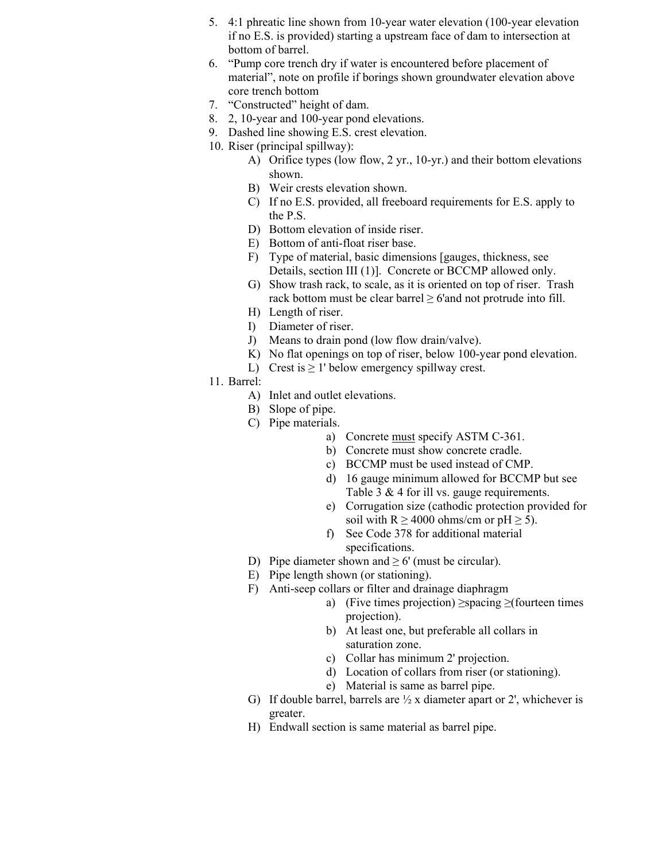- 5. 4:1 phreatic line shown from 10-year water elevation (100-year elevation if no E.S. is provided) starting a upstream face of dam to intersection at bottom of barrel.
- 6. "Pump core trench dry if water is encountered before placement of material", note on profile if borings shown groundwater elevation above core trench bottom
- 7. "Constructed" height of dam.
- 8. 2, 10-year and 100-year pond elevations.
- 9. Dashed line showing E.S. crest elevation.
- 10. Riser (principal spillway):
	- A) Orifice types (low flow, 2 yr., 10-yr.) and their bottom elevations shown.
	- B) Weir crests elevation shown.
	- C) If no E.S. provided, all freeboard requirements for E.S. apply to the P.S.
	- D) Bottom elevation of inside riser.
	- E) Bottom of anti-float riser base.
	- F) Type of material, basic dimensions [gauges, thickness, see Details, section III (1)]. Concrete or BCCMP allowed only.
	- G) Show trash rack, to scale, as it is oriented on top of riser. Trash rack bottom must be clear barrel  $\geq$  6'and not protrude into fill.
	- H) Length of riser.
	- I) Diameter of riser.
	- J) Means to drain pond (low flow drain/valve).
	- K) No flat openings on top of riser, below 100-year pond elevation.
	- L) Crest is  $\geq 1$ ' below emergency spillway crest.
- 11. Barrel:
	- A) Inlet and outlet elevations.
	- B) Slope of pipe.
	- C) Pipe materials.
		- a) Concrete must specify ASTM C-361.
		- b) Concrete must show concrete cradle.
		- c) BCCMP must be used instead of CMP.
		- d) 16 gauge minimum allowed for BCCMP but see Table 3 & 4 for ill vs. gauge requirements.
		- e) Corrugation size (cathodic protection provided for soil with R  $\geq$  4000 ohms/cm or pH  $\geq$  5).
		- f) See Code 378 for additional material specifications.
	- D) Pipe diameter shown and  $\geq 6'$  (must be circular).
	- E) Pipe length shown (or stationing).
	- F) Anti-seep collars or filter and drainage diaphragm
		- a) (Five times projection)  $\geq$ spacing  $\geq$ (fourteen times projection).
		- b) At least one, but preferable all collars in saturation zone.
		- c) Collar has minimum 2' projection.
		- d) Location of collars from riser (or stationing).
		- e) Material is same as barrel pipe.
	- G) If double barrel, barrels are  $\frac{1}{2}$  x diameter apart or 2', whichever is greater.
	- H) Endwall section is same material as barrel pipe.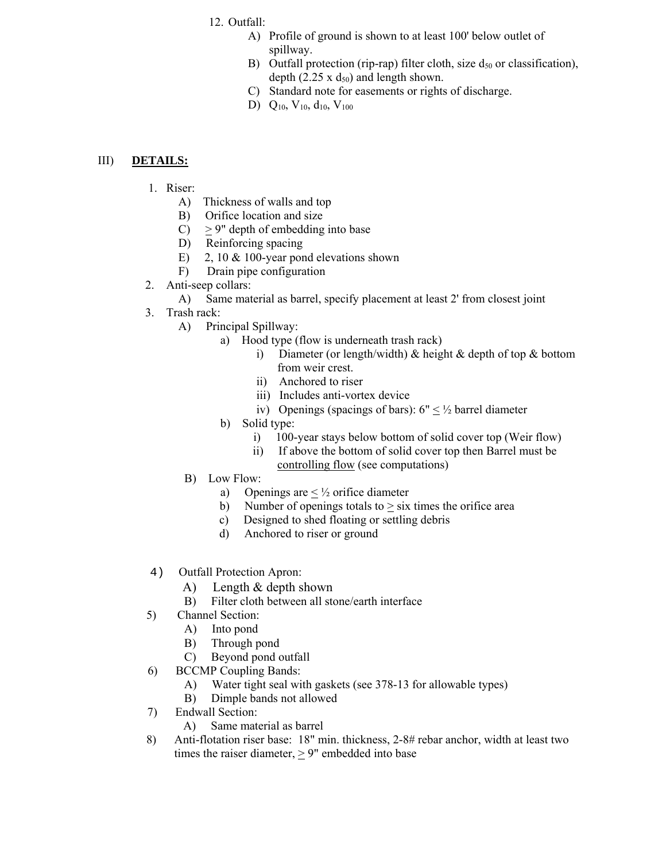### 12. Outfall:

- A) Profile of ground is shown to at least 100' below outlet of spillway.
- B) Outfall protection (rip-rap) filter cloth, size  $d_{50}$  or classification), depth (2.25 x  $d_{50}$ ) and length shown.
- C) Standard note for easements or rights of discharge.
- D)  $Q_{10}$ ,  $V_{10}$ ,  $d_{10}$ ,  $V_{100}$

#### III) **DETAILS:**

- 1. Riser:
	- A) Thickness of walls and top
	- B) Orifice location and size
	- $C$ )  $> 9$ " depth of embedding into base
	- D) Reinforcing spacing
	- E) 2, 10 & 100-year pond elevations shown
	- F) Drain pipe configuration
- 2. Anti-seep collars:
	- A) Same material as barrel, specify placement at least 2' from closest joint
- 3. Trash rack:
	- A) Principal Spillway:
		- a) Hood type (flow is underneath trash rack)
			- i) Diameter (or length/width) & height & depth of top & bottom from weir crest.
			- ii) Anchored to riser
			- iii) Includes anti-vortex device
			- iv) Openings (spacings of bars):  $6'' < \frac{1}{2}$  barrel diameter
		- b) Solid type:
			- i) 100-year stays below bottom of solid cover top (Weir flow)
			- ii) If above the bottom of solid cover top then Barrel must be controlling flow (see computations)
	- B) Low Flow:
		- a) Openings are  $\leq \frac{1}{2}$  orifice diameter
		- b) Number of openings totals to  $>$  six times the orifice area
		- c) Designed to shed floating or settling debris
		- d) Anchored to riser or ground
- 4) Outfall Protection Apron:
	- A) Length & depth shown
	- B) Filter cloth between all stone/earth interface
- 5) Channel Section:
	- A) Into pond
	- B) Through pond
	- C) Beyond pond outfall
- 6) BCCMP Coupling Bands:
	- A) Water tight seal with gaskets (see 378-13 for allowable types)
	- **B**) Dimple bands not allowed
- 7) Endwall Section:
	- A) Same material as barrel
- 8) Anti-flotation riser base: 18" min. thickness, 2-8# rebar anchor, width at least two times the raiser diameter,  $\geq$  9" embedded into base